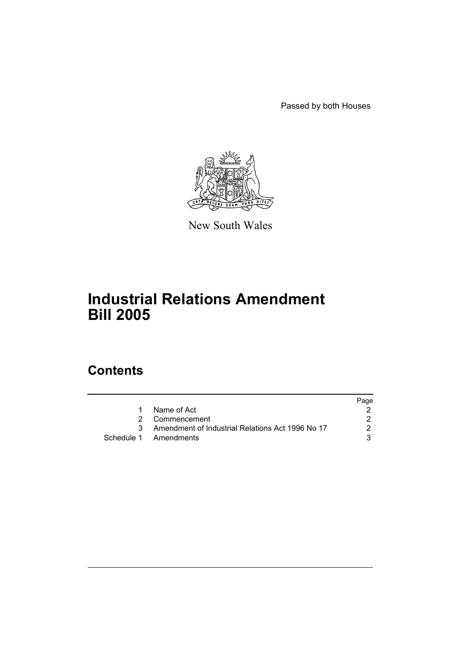Passed by both Houses



New South Wales

# **Industrial Relations Amendment Bill 2005**

# **Contents**

|    |                                                  | Page |
|----|--------------------------------------------------|------|
| 1. | Name of Act                                      |      |
|    | 2 Commencement                                   |      |
| 3  | Amendment of Industrial Relations Act 1996 No 17 | 2    |
|    | Schedule 1 Amendments                            |      |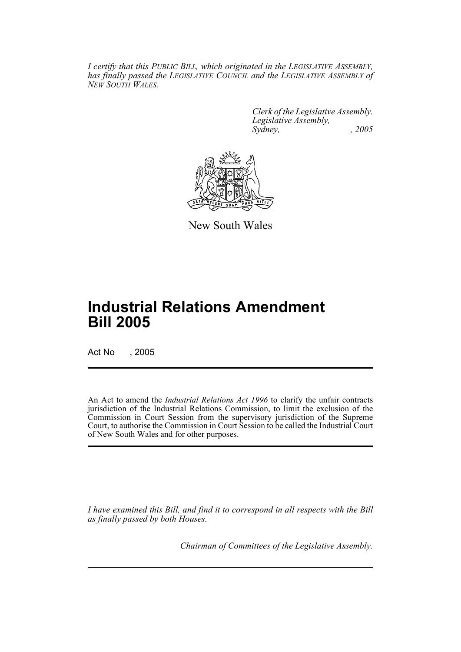*I certify that this PUBLIC BILL, which originated in the LEGISLATIVE ASSEMBLY, has finally passed the LEGISLATIVE COUNCIL and the LEGISLATIVE ASSEMBLY of NEW SOUTH WALES.*

> *Clerk of the Legislative Assembly. Legislative Assembly, Sydney, , 2005*



New South Wales

# **Industrial Relations Amendment Bill 2005**

Act No , 2005

An Act to amend the *Industrial Relations Act 1996* to clarify the unfair contracts jurisdiction of the Industrial Relations Commission, to limit the exclusion of the Commission in Court Session from the supervisory jurisdiction of the Supreme Court, to authorise the Commission in Court Session to be called the Industrial Court of New South Wales and for other purposes.

*I have examined this Bill, and find it to correspond in all respects with the Bill as finally passed by both Houses.*

*Chairman of Committees of the Legislative Assembly.*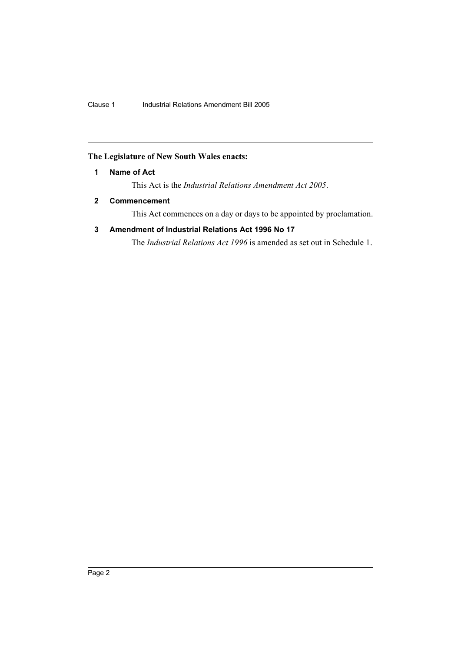## **The Legislature of New South Wales enacts:**

### **1 Name of Act**

This Act is the *Industrial Relations Amendment Act 2005*.

### **2 Commencement**

This Act commences on a day or days to be appointed by proclamation.

## **3 Amendment of Industrial Relations Act 1996 No 17**

The *Industrial Relations Act 1996* is amended as set out in Schedule 1.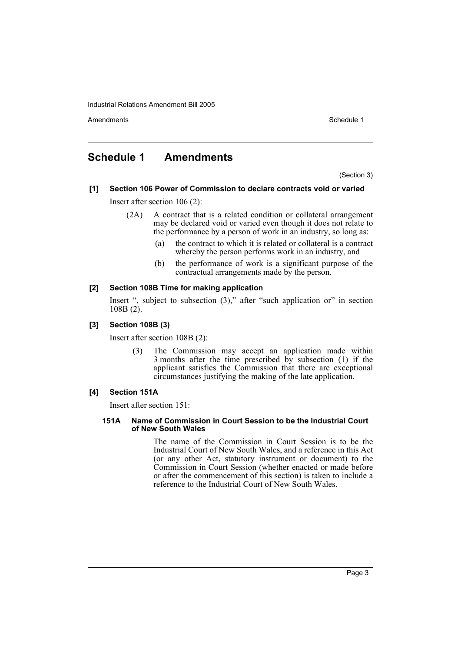Industrial Relations Amendment Bill 2005

Amendments **Amendments** Schedule 1

# **Schedule 1 Amendments**

(Section 3)

- **[1] Section 106 Power of Commission to declare contracts void or varied** Insert after section 106 (2):
	- (2A) A contract that is a related condition or collateral arrangement may be declared void or varied even though it does not relate to the performance by a person of work in an industry, so long as:
		- (a) the contract to which it is related or collateral is a contract whereby the person performs work in an industry, and
		- (b) the performance of work is a significant purpose of the contractual arrangements made by the person.

#### **[2] Section 108B Time for making application**

Insert ", subject to subsection (3)," after "such application or" in section 108B (2).

#### **[3] Section 108B (3)**

Insert after section 108B (2):

(3) The Commission may accept an application made within 3 months after the time prescribed by subsection (1) if the applicant satisfies the Commission that there are exceptional circumstances justifying the making of the late application.

#### **[4] Section 151A**

Insert after section 151:

#### **151A Name of Commission in Court Session to be the Industrial Court of New South Wales**

The name of the Commission in Court Session is to be the Industrial Court of New South Wales, and a reference in this Act (or any other Act, statutory instrument or document) to the Commission in Court Session (whether enacted or made before or after the commencement of this section) is taken to include a reference to the Industrial Court of New South Wales.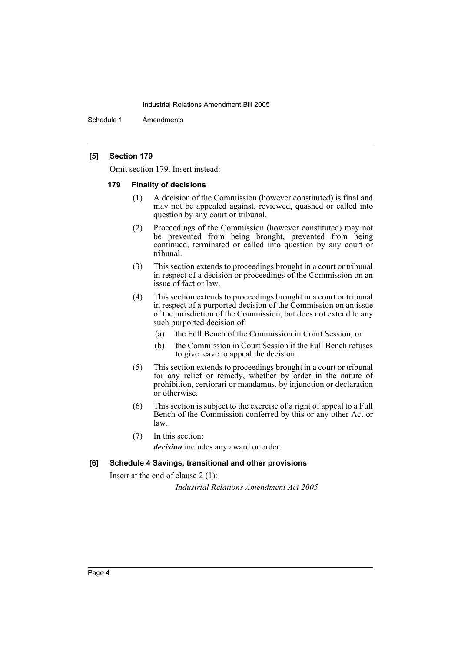#### Industrial Relations Amendment Bill 2005

Schedule 1 Amendments

#### **[5] Section 179**

Omit section 179. Insert instead:

#### **179 Finality of decisions**

- (1) A decision of the Commission (however constituted) is final and may not be appealed against, reviewed, quashed or called into question by any court or tribunal.
- (2) Proceedings of the Commission (however constituted) may not be prevented from being brought, prevented from being continued, terminated or called into question by any court or tribunal.
- (3) This section extends to proceedings brought in a court or tribunal in respect of a decision or proceedings of the Commission on an issue of fact or law.
- (4) This section extends to proceedings brought in a court or tribunal in respect of a purported decision of the Commission on an issue of the jurisdiction of the Commission, but does not extend to any such purported decision of:
	- (a) the Full Bench of the Commission in Court Session, or
	- (b) the Commission in Court Session if the Full Bench refuses to give leave to appeal the decision.
- (5) This section extends to proceedings brought in a court or tribunal for any relief or remedy, whether by order in the nature of prohibition, certiorari or mandamus, by injunction or declaration or otherwise.
- (6) This section is subject to the exercise of a right of appeal to a Full Bench of the Commission conferred by this or any other Act or law.
- (7) In this section: *decision* includes any award or order.

#### **[6] Schedule 4 Savings, transitional and other provisions**

Insert at the end of clause 2 (1):

*Industrial Relations Amendment Act 2005*